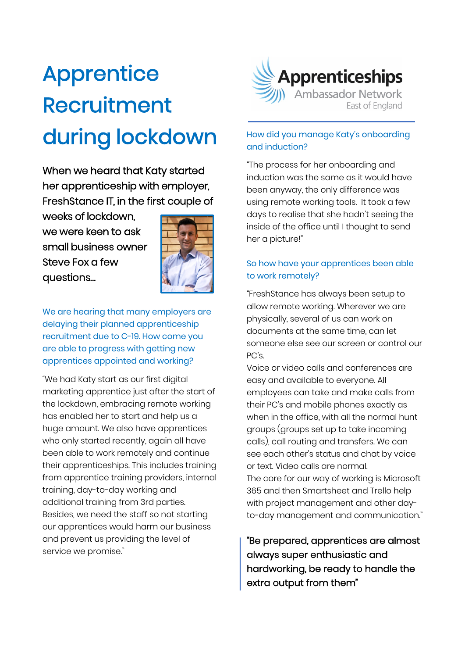# Apprentice Recruitment during lockdown

When we heard that Katy started her apprenticeship with employer, FreshStance IT, in the first couple of

weeks of lockdown, we were keen to ask small business owner Steve Fox a few questions…



We are hearing that many employers are delaying their planned apprenticeship recruitment due to C-19. How come you are able to progress with getting new apprentices appointed and working?

"We had Katy start as our first digital marketing apprentice just after the start of the lockdown, embracing remote working has enabled her to start and help us a huge amount. We also have apprentices who only started recently, again all have been able to work remotely and continue their apprenticeships. This includes training from apprentice training providers, internal training, day-to-day working and additional training from 3rd parties. Besides, we need the staff so not starting our apprentices would harm our business and prevent us providing the level of service we promise."



## How did you manage Katy's onboarding and induction?

"The process for her onboarding and induction was the same as it would have been anyway, the only difference was using remote working tools. It took a few days to realise that she hadn't seeing the inside of the office until I thought to send her a picture!"

## So how have your apprentices been able to work remotely?

"FreshStance has always been setup to allow remote working. Wherever we are physically, several of us can work on documents at the same time, can let someone else see our screen or control our PC's.

Voice or video calls and conferences are easy and available to everyone. All employees can take and make calls from their PC's and mobile phones exactly as when in the office, with all the normal hunt groups (groups set up to take incoming calls), call routing and transfers. We can see each other's status and chat by voice or text. Video calls are normal. The core for our way of working is Microsoft 365 and then Smartsheet and Trello help with project management and other dayto-day management and communication."

"Be prepared, apprentices are almost always super enthusiastic and hardworking, be ready to handle the extra output from them"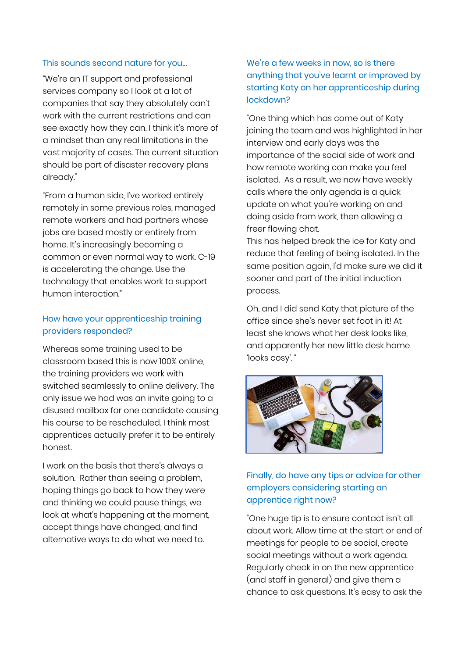#### This sounds second nature for you…

"We're an IT support and professional services company so I look at a lot of companies that say they absolutely can't work with the current restrictions and can see exactly how they can. I think it's more of a mindset than any real limitations in the vast majority of cases. The current situation should be part of disaster recovery plans already."

"From a human side, I've worked entirely remotely in some previous roles, managed remote workers and had partners whose jobs are based mostly or entirely from home. It's increasingly becoming a common or even normal way to work. C-19 is accelerating the change. Use the technology that enables work to support human interaction."

## How have your apprenticeship training providers responded?

Whereas some training used to be classroom based this is now 100% online, the training providers we work with switched seamlessly to online delivery. The only issue we had was an invite going to a disused mailbox for one candidate causing his course to be rescheduled. I think most apprentices actually prefer it to be entirely honest.

I work on the basis that there's always a solution. Rather than seeing a problem, hoping things go back to how they were and thinking we could pause things, we look at what's happening at the moment, accept things have changed, and find alternative ways to do what we need to.

## We're a few weeks in now, so is there anything that you've learnt or improved by starting Katy on her apprenticeship during lockdown?

"One thing which has come out of Katy joining the team and was highlighted in her interview and early days was the importance of the social side of work and how remote working can make you feel isolated. As a result, we now have weekly calls where the only agenda is a quick update on what you're working on and doing aside from work, then allowing a freer flowing chat.

This has helped break the ice for Katy and reduce that feeling of being isolated. In the same position again, I'd make sure we did it sooner and part of the initial induction process.

Oh, and I did send Katy that picture of the office since she's never set foot in it! At least she knows what her desk looks like, and apparently her new little desk home 'looks cosy'. "



## Finally, do have any tips or advice for other employers considering starting an apprentice right now?

"One huge tip is to ensure contact isn't all about work. Allow time at the start or end of meetings for people to be social, create social meetings without a work agenda. Regularly check in on the new apprentice (and staff in general) and give them a chance to ask questions. It's easy to ask the